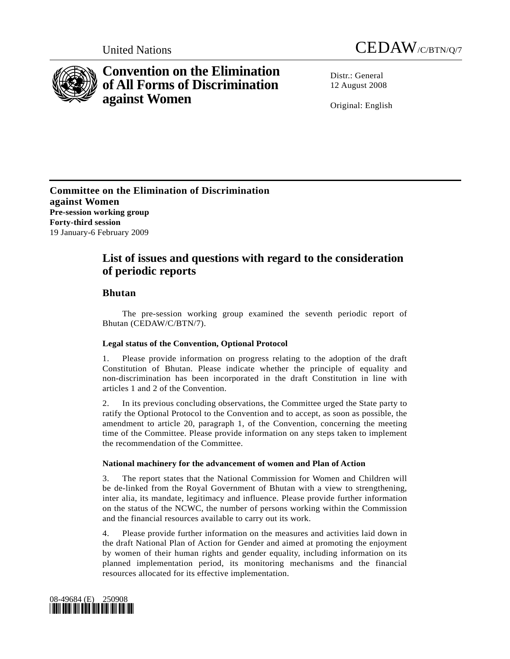



# **Convention on the Elimination of All Forms of Discrimination against Women**

Distr · General 12 August 2008

Original: English

**Committee on the Elimination of Discrimination against Women Pre-session working group Forty-third session**  19 January-6 February 2009

## **List of issues and questions with regard to the consideration of periodic reports**

## **Bhutan**

 The pre-session working group examined the seventh periodic report of Bhutan (CEDAW/C/BTN/7).

## **Legal status of the Convention, Optional Protocol**

1. Please provide information on progress relating to the adoption of the draft Constitution of Bhutan. Please indicate whether the principle of equality and non-discrimination has been incorporated in the draft Constitution in line with articles 1 and 2 of the Convention.

2. In its previous concluding observations, the Committee urged the State party to ratify the Optional Protocol to the Convention and to accept, as soon as possible, the amendment to article 20, paragraph 1, of the Convention, concerning the meeting time of the Committee. Please provide information on any steps taken to implement the recommendation of the Committee.

## **National machinery for the advancement of women and Plan of Action**

3. The report states that the National Commission for Women and Children will be de-linked from the Royal Government of Bhutan with a view to strengthening, inter alia, its mandate, legitimacy and influence. Please provide further information on the status of the NCWC, the number of persons working within the Commission and the financial resources available to carry out its work.

4. Please provide further information on the measures and activities laid down in the draft National Plan of Action for Gender and aimed at promoting the enjoyment by women of their human rights and gender equality, including information on its planned implementation period, its monitoring mechanisms and the financial resources allocated for its effective implementation.

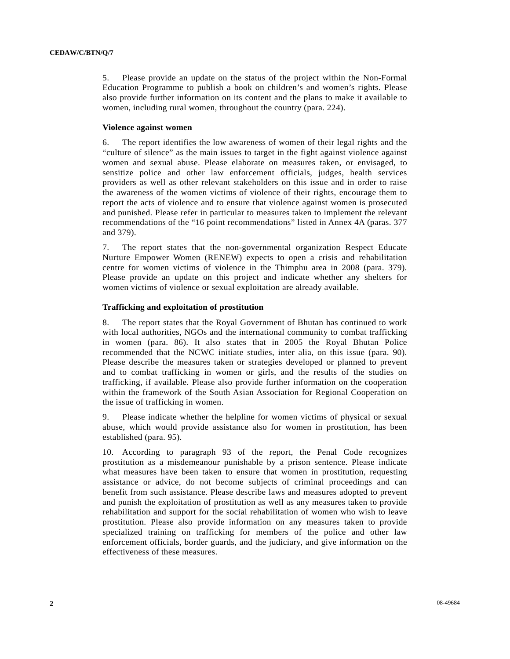5. Please provide an update on the status of the project within the Non-Formal Education Programme to publish a book on children's and women's rights. Please also provide further information on its content and the plans to make it available to women, including rural women, throughout the country (para. 224).

## **Violence against women**

6. The report identifies the low awareness of women of their legal rights and the "culture of silence" as the main issues to target in the fight against violence against women and sexual abuse. Please elaborate on measures taken, or envisaged, to sensitize police and other law enforcement officials, judges, health services providers as well as other relevant stakeholders on this issue and in order to raise the awareness of the women victims of violence of their rights, encourage them to report the acts of violence and to ensure that violence against women is prosecuted and punished. Please refer in particular to measures taken to implement the relevant recommendations of the "16 point recommendations" listed in Annex 4A (paras. 377 and 379).

7. The report states that the non-governmental organization Respect Educate Nurture Empower Women (RENEW) expects to open a crisis and rehabilitation centre for women victims of violence in the Thimphu area in 2008 (para. 379). Please provide an update on this project and indicate whether any shelters for women victims of violence or sexual exploitation are already available.

#### **Trafficking and exploitation of prostitution**

8. The report states that the Royal Government of Bhutan has continued to work with local authorities, NGOs and the international community to combat trafficking in women (para. 86). It also states that in 2005 the Royal Bhutan Police recommended that the NCWC initiate studies, inter alia, on this issue (para. 90). Please describe the measures taken or strategies developed or planned to prevent and to combat trafficking in women or girls, and the results of the studies on trafficking, if available. Please also provide further information on the cooperation within the framework of the South Asian Association for Regional Cooperation on the issue of trafficking in women.

9. Please indicate whether the helpline for women victims of physical or sexual abuse, which would provide assistance also for women in prostitution, has been established (para. 95).

10. According to paragraph 93 of the report, the Penal Code recognizes prostitution as a misdemeanour punishable by a prison sentence. Please indicate what measures have been taken to ensure that women in prostitution, requesting assistance or advice, do not become subjects of criminal proceedings and can benefit from such assistance. Please describe laws and measures adopted to prevent and punish the exploitation of prostitution as well as any measures taken to provide rehabilitation and support for the social rehabilitation of women who wish to leave prostitution. Please also provide information on any measures taken to provide specialized training on trafficking for members of the police and other law enforcement officials, border guards, and the judiciary, and give information on the effectiveness of these measures.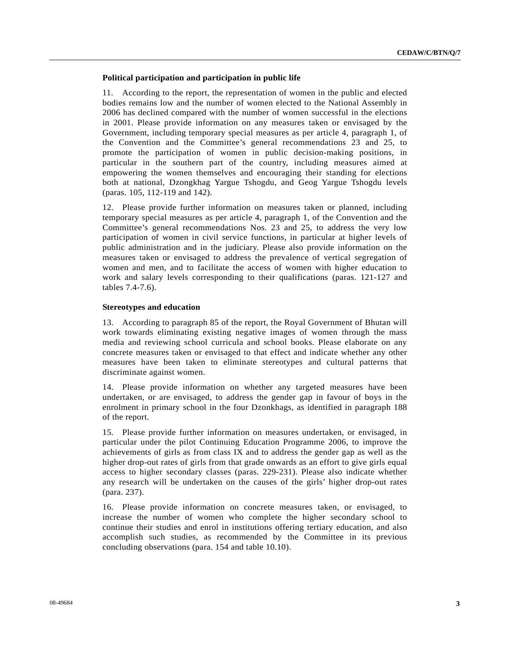## **Political participation and participation in public life**

11. According to the report, the representation of women in the public and elected bodies remains low and the number of women elected to the National Assembly in 2006 has declined compared with the number of women successful in the elections in 2001. Please provide information on any measures taken or envisaged by the Government, including temporary special measures as per article 4, paragraph 1, of the Convention and the Committee's general recommendations 23 and 25, to promote the participation of women in public decision-making positions, in particular in the southern part of the country, including measures aimed at empowering the women themselves and encouraging their standing for elections both at national, Dzongkhag Yargue Tshogdu, and Geog Yargue Tshogdu levels (paras. 105, 112-119 and 142).

12. Please provide further information on measures taken or planned, including temporary special measures as per article 4, paragraph 1, of the Convention and the Committee's general recommendations Nos. 23 and 25, to address the very low participation of women in civil service functions, in particular at higher levels of public administration and in the judiciary. Please also provide information on the measures taken or envisaged to address the prevalence of vertical segregation of women and men, and to facilitate the access of women with higher education to work and salary levels corresponding to their qualifications (paras. 121-127 and tables 7.4-7.6).

#### **Stereotypes and education**

13. According to paragraph 85 of the report, the Royal Government of Bhutan will work towards eliminating existing negative images of women through the mass media and reviewing school curricula and school books. Please elaborate on any concrete measures taken or envisaged to that effect and indicate whether any other measures have been taken to eliminate stereotypes and cultural patterns that discriminate against women.

14. Please provide information on whether any targeted measures have been undertaken, or are envisaged, to address the gender gap in favour of boys in the enrolment in primary school in the four Dzonkhags, as identified in paragraph 188 of the report.

15. Please provide further information on measures undertaken, or envisaged, in particular under the pilot Continuing Education Programme 2006, to improve the achievements of girls as from class IX and to address the gender gap as well as the higher drop-out rates of girls from that grade onwards as an effort to give girls equal access to higher secondary classes (paras. 229-231). Please also indicate whether any research will be undertaken on the causes of the girls' higher drop-out rates (para. 237).

16. Please provide information on concrete measures taken, or envisaged, to increase the number of women who complete the higher secondary school to continue their studies and enrol in institutions offering tertiary education, and also accomplish such studies, as recommended by the Committee in its previous concluding observations (para. 154 and table 10.10).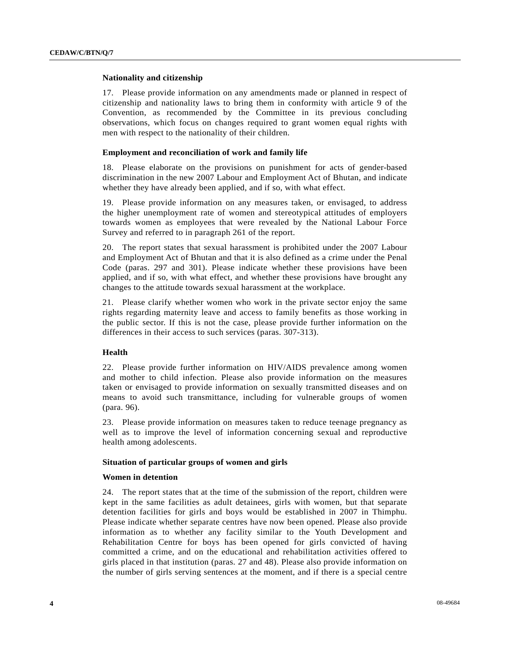#### **Nationality and citizenship**

17. Please provide information on any amendments made or planned in respect of citizenship and nationality laws to bring them in conformity with article 9 of the Convention, as recommended by the Committee in its previous concluding observations, which focus on changes required to grant women equal rights with men with respect to the nationality of their children.

#### **Employment and reconciliation of work and family life**

18. Please elaborate on the provisions on punishment for acts of gender-based discrimination in the new 2007 Labour and Employment Act of Bhutan, and indicate whether they have already been applied, and if so, with what effect.

19. Please provide information on any measures taken, or envisaged, to address the higher unemployment rate of women and stereotypical attitudes of employers towards women as employees that were revealed by the National Labour Force Survey and referred to in paragraph 261 of the report.

20. The report states that sexual harassment is prohibited under the 2007 Labour and Employment Act of Bhutan and that it is also defined as a crime under the Penal Code (paras. 297 and 301). Please indicate whether these provisions have been applied, and if so, with what effect, and whether these provisions have brought any changes to the attitude towards sexual harassment at the workplace.

21. Please clarify whether women who work in the private sector enjoy the same rights regarding maternity leave and access to family benefits as those working in the public sector. If this is not the case, please provide further information on the differences in their access to such services (paras. 307-313).

## **Health**

22. Please provide further information on HIV/AIDS prevalence among women and mother to child infection. Please also provide information on the measures taken or envisaged to provide information on sexually transmitted diseases and on means to avoid such transmittance, including for vulnerable groups of women (para. 96).

23. Please provide information on measures taken to reduce teenage pregnancy as well as to improve the level of information concerning sexual and reproductive health among adolescents.

## **Situation of particular groups of women and girls**

#### **Women in detention**

24. The report states that at the time of the submission of the report, children were kept in the same facilities as adult detainees, girls with women, but that separate detention facilities for girls and boys would be established in 2007 in Thimphu. Please indicate whether separate centres have now been opened. Please also provide information as to whether any facility similar to the Youth Development and Rehabilitation Centre for boys has been opened for girls convicted of having committed a crime, and on the educational and rehabilitation activities offered to girls placed in that institution (paras. 27 and 48). Please also provide information on the number of girls serving sentences at the moment, and if there is a special centre